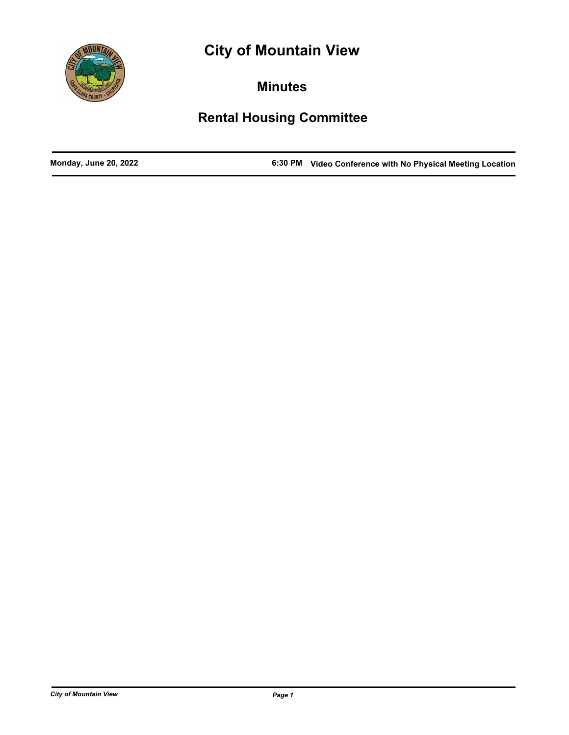



**Minutes**

# **Rental Housing Committee**

**Monday, June 20, 2022 6:30 PM Video Conference with No Physical Meeting Location**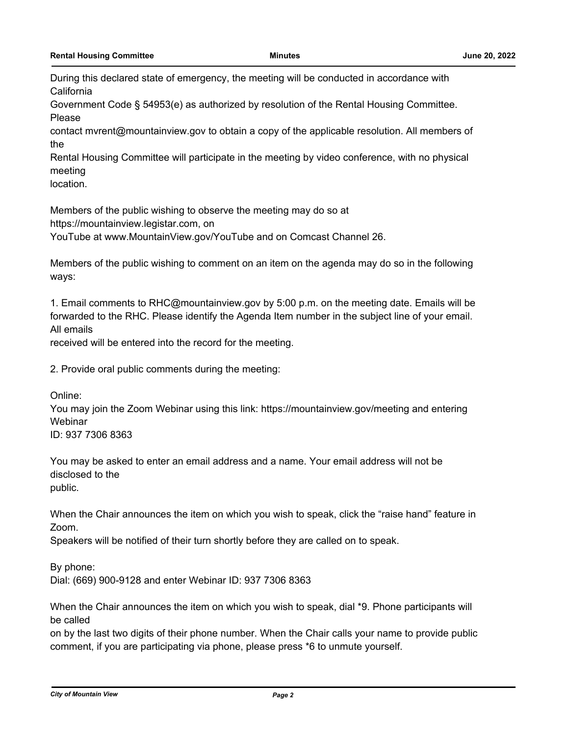During this declared state of emergency, the meeting will be conducted in accordance with **California** 

Government Code § 54953(e) as authorized by resolution of the Rental Housing Committee. Please

contact mvrent@mountainview.gov to obtain a copy of the applicable resolution. All members of the

Rental Housing Committee will participate in the meeting by video conference, with no physical meeting

location.

Members of the public wishing to observe the meeting may do so at

https://mountainview.legistar.com, on

YouTube at www.MountainView.gov/YouTube and on Comcast Channel 26.

Members of the public wishing to comment on an item on the agenda may do so in the following ways:

1. Email comments to RHC@mountainview.gov by 5:00 p.m. on the meeting date. Emails will be forwarded to the RHC. Please identify the Agenda Item number in the subject line of your email. All emails

received will be entered into the record for the meeting.

2. Provide oral public comments during the meeting:

Online:

You may join the Zoom Webinar using this link: https://mountainview.gov/meeting and entering Webinar

ID: 937 7306 8363

You may be asked to enter an email address and a name. Your email address will not be disclosed to the public.

When the Chair announces the item on which you wish to speak, click the "raise hand" feature in Zoom.

Speakers will be notified of their turn shortly before they are called on to speak.

By phone:

Dial: (669) 900-9128 and enter Webinar ID: 937 7306 8363

When the Chair announces the item on which you wish to speak, dial \*9. Phone participants will be called

on by the last two digits of their phone number. When the Chair calls your name to provide public comment, if you are participating via phone, please press \*6 to unmute yourself.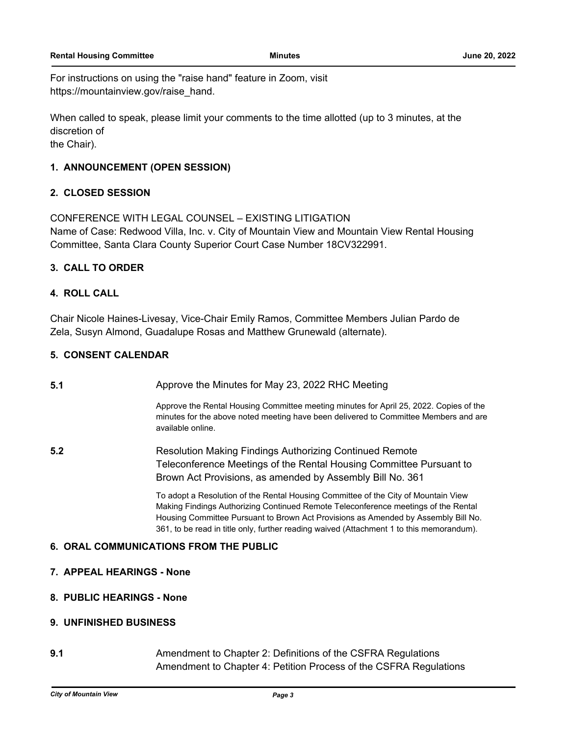For instructions on using the "raise hand" feature in Zoom, visit https://mountainview.gov/raise\_hand.

When called to speak, please limit your comments to the time allotted (up to 3 minutes, at the discretion of

the Chair).

### **1. ANNOUNCEMENT (OPEN SESSION)**

#### **2. CLOSED SESSION**

CONFERENCE WITH LEGAL COUNSEL – EXISTING LITIGATION Name of Case: Redwood Villa, Inc. v. City of Mountain View and Mountain View Rental Housing Committee, Santa Clara County Superior Court Case Number 18CV322991.

# **3. CALL TO ORDER**

# **4. ROLL CALL**

Chair Nicole Haines-Livesay, Vice-Chair Emily Ramos, Committee Members Julian Pardo de Zela, Susyn Almond, Guadalupe Rosas and Matthew Grunewald (alternate).

# **5. CONSENT CALENDAR**

**5.1** Approve the Minutes for May 23, 2022 RHC Meeting

Approve the Rental Housing Committee meeting minutes for April 25, 2022. Copies of the minutes for the above noted meeting have been delivered to Committee Members and are available online.

**5.2** Resolution Making Findings Authorizing Continued Remote Teleconference Meetings of the Rental Housing Committee Pursuant to Brown Act Provisions, as amended by Assembly Bill No. 361

> To adopt a Resolution of the Rental Housing Committee of the City of Mountain View Making Findings Authorizing Continued Remote Teleconference meetings of the Rental Housing Committee Pursuant to Brown Act Provisions as Amended by Assembly Bill No. 361, to be read in title only, further reading waived (Attachment 1 to this memorandum).

# **6. ORAL COMMUNICATIONS FROM THE PUBLIC**

- **7. APPEAL HEARINGS None**
- **8. PUBLIC HEARINGS None**

#### **9. UNFINISHED BUSINESS**

**9.1** Amendment to Chapter 2: Definitions of the CSFRA Regulations Amendment to Chapter 4: Petition Process of the CSFRA Regulations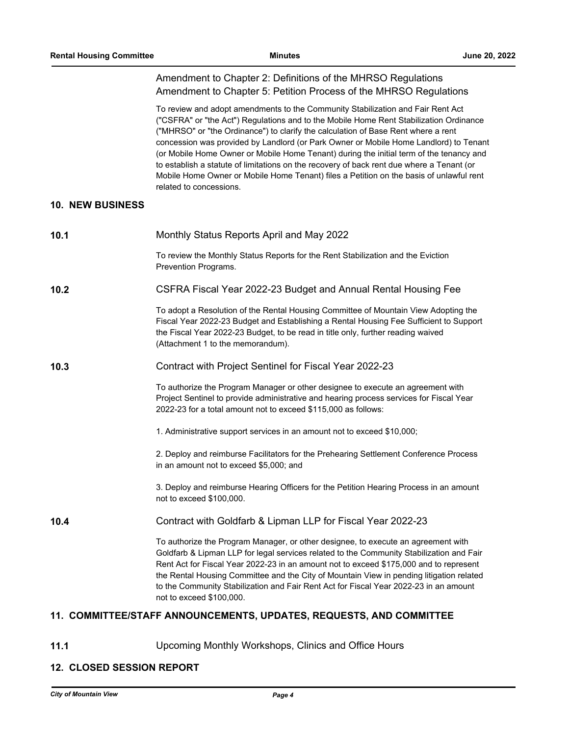# Amendment to Chapter 2: Definitions of the MHRSO Regulations Amendment to Chapter 5: Petition Process of the MHRSO Regulations

To review and adopt amendments to the Community Stabilization and Fair Rent Act ("CSFRA" or "the Act") Regulations and to the Mobile Home Rent Stabilization Ordinance ("MHRSO" or "the Ordinance") to clarify the calculation of Base Rent where a rent concession was provided by Landlord (or Park Owner or Mobile Home Landlord) to Tenant (or Mobile Home Owner or Mobile Home Tenant) during the initial term of the tenancy and to establish a statute of limitations on the recovery of back rent due where a Tenant (or Mobile Home Owner or Mobile Home Tenant) files a Petition on the basis of unlawful rent related to concessions.

#### **10. NEW BUSINESS**

| 10.1 | Monthly Status Reports April and May 2022                                                                                                                                                                                                                                                                                                                                                                                                                                                |
|------|------------------------------------------------------------------------------------------------------------------------------------------------------------------------------------------------------------------------------------------------------------------------------------------------------------------------------------------------------------------------------------------------------------------------------------------------------------------------------------------|
|      | To review the Monthly Status Reports for the Rent Stabilization and the Eviction<br>Prevention Programs.                                                                                                                                                                                                                                                                                                                                                                                 |
| 10.2 | CSFRA Fiscal Year 2022-23 Budget and Annual Rental Housing Fee                                                                                                                                                                                                                                                                                                                                                                                                                           |
|      | To adopt a Resolution of the Rental Housing Committee of Mountain View Adopting the<br>Fiscal Year 2022-23 Budget and Establishing a Rental Housing Fee Sufficient to Support<br>the Fiscal Year 2022-23 Budget, to be read in title only, further reading waived<br>(Attachment 1 to the memorandum).                                                                                                                                                                                   |
| 10.3 | Contract with Project Sentinel for Fiscal Year 2022-23                                                                                                                                                                                                                                                                                                                                                                                                                                   |
|      | To authorize the Program Manager or other designee to execute an agreement with<br>Project Sentinel to provide administrative and hearing process services for Fiscal Year<br>2022-23 for a total amount not to exceed \$115,000 as follows:                                                                                                                                                                                                                                             |
|      | 1. Administrative support services in an amount not to exceed \$10,000;                                                                                                                                                                                                                                                                                                                                                                                                                  |
|      | 2. Deploy and reimburse Facilitators for the Prehearing Settlement Conference Process<br>in an amount not to exceed \$5,000; and                                                                                                                                                                                                                                                                                                                                                         |
|      | 3. Deploy and reimburse Hearing Officers for the Petition Hearing Process in an amount<br>not to exceed \$100,000.                                                                                                                                                                                                                                                                                                                                                                       |
| 10.4 | Contract with Goldfarb & Lipman LLP for Fiscal Year 2022-23                                                                                                                                                                                                                                                                                                                                                                                                                              |
|      | To authorize the Program Manager, or other designee, to execute an agreement with<br>Goldfarb & Lipman LLP for legal services related to the Community Stabilization and Fair<br>Rent Act for Fiscal Year 2022-23 in an amount not to exceed \$175,000 and to represent<br>the Rental Housing Committee and the City of Mountain View in pending litigation related<br>to the Community Stabilization and Fair Rent Act for Fiscal Year 2022-23 in an amount<br>not to exceed \$100,000. |

#### **11. COMMITTEE/STAFF ANNOUNCEMENTS, UPDATES, REQUESTS, AND COMMITTEE**

**11.1** Upcoming Monthly Workshops, Clinics and Office Hours

#### **12. CLOSED SESSION REPORT**